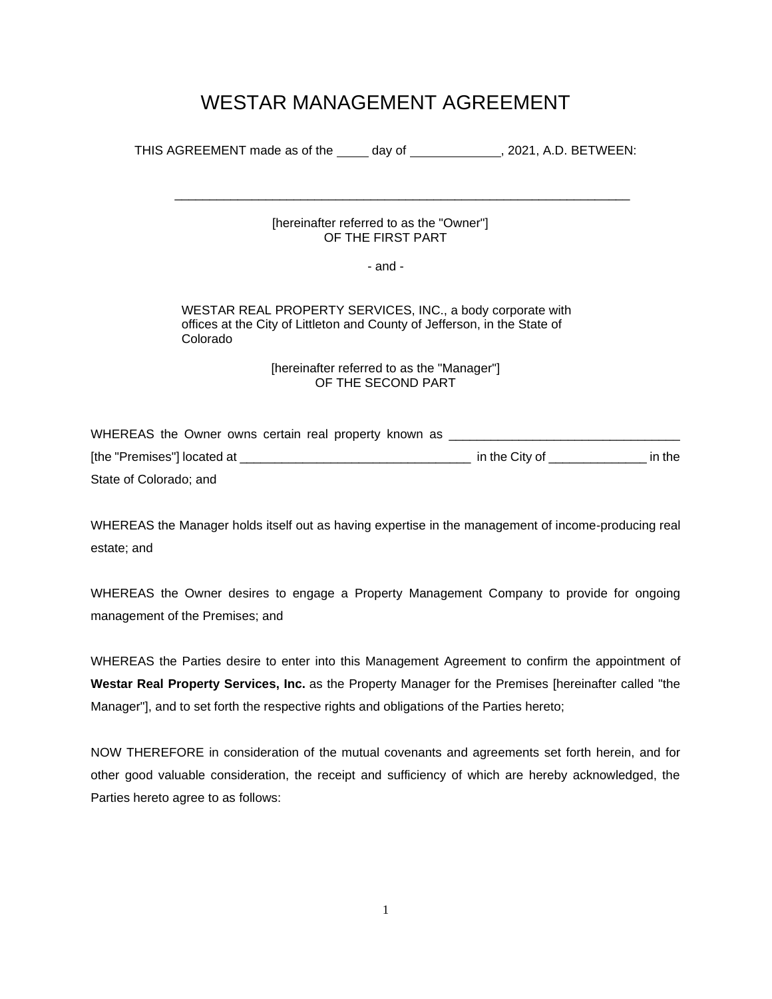# WESTAR MANAGEMENT AGREEMENT

|                                                                                  |                                                                  | THIS AGREEMENT made as of the _____ day of _______________, 2021, A.D. BETWEEN:                                                         |  |
|----------------------------------------------------------------------------------|------------------------------------------------------------------|-----------------------------------------------------------------------------------------------------------------------------------------|--|
|                                                                                  | [hereinafter referred to as the "Owner"]<br>OF THE FIRST PART    |                                                                                                                                         |  |
|                                                                                  | - and -                                                          |                                                                                                                                         |  |
| Colorado                                                                         |                                                                  | WESTAR REAL PROPERTY SERVICES, INC., a body corporate with<br>offices at the City of Littleton and County of Jefferson, in the State of |  |
|                                                                                  | [hereinafter referred to as the "Manager"]<br>OF THE SECOND PART |                                                                                                                                         |  |
| WHEREAS the Owner owns certain real property known as __________________________ |                                                                  |                                                                                                                                         |  |
|                                                                                  |                                                                  |                                                                                                                                         |  |
| State of Colorado; and                                                           |                                                                  |                                                                                                                                         |  |

WHEREAS the Manager holds itself out as having expertise in the management of income-producing real estate; and

WHEREAS the Owner desires to engage a Property Management Company to provide for ongoing management of the Premises; and

WHEREAS the Parties desire to enter into this Management Agreement to confirm the appointment of **Westar Real Property Services, Inc.** as the Property Manager for the Premises [hereinafter called "the Manager"], and to set forth the respective rights and obligations of the Parties hereto;

NOW THEREFORE in consideration of the mutual covenants and agreements set forth herein, and for other good valuable consideration, the receipt and sufficiency of which are hereby acknowledged, the Parties hereto agree to as follows: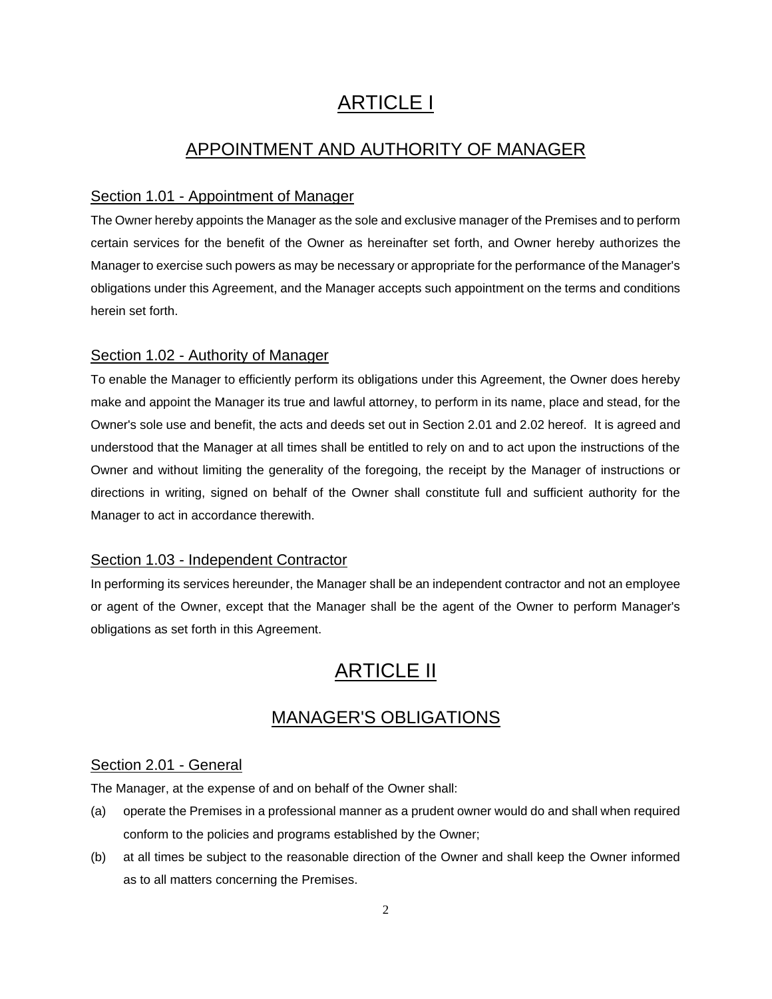# ARTICLE I

# APPOINTMENT AND AUTHORITY OF MANAGER

# Section 1.01 - Appointment of Manager

The Owner hereby appoints the Manager as the sole and exclusive manager of the Premises and to perform certain services for the benefit of the Owner as hereinafter set forth, and Owner hereby authorizes the Manager to exercise such powers as may be necessary or appropriate for the performance of the Manager's obligations under this Agreement, and the Manager accepts such appointment on the terms and conditions herein set forth.

# Section 1.02 - Authority of Manager

To enable the Manager to efficiently perform its obligations under this Agreement, the Owner does hereby make and appoint the Manager its true and lawful attorney, to perform in its name, place and stead, for the Owner's sole use and benefit, the acts and deeds set out in Section 2.01 and 2.02 hereof. It is agreed and understood that the Manager at all times shall be entitled to rely on and to act upon the instructions of the Owner and without limiting the generality of the foregoing, the receipt by the Manager of instructions or directions in writing, signed on behalf of the Owner shall constitute full and sufficient authority for the Manager to act in accordance therewith.

# Section 1.03 - Independent Contractor

In performing its services hereunder, the Manager shall be an independent contractor and not an employee or agent of the Owner, except that the Manager shall be the agent of the Owner to perform Manager's obligations as set forth in this Agreement.

# ARTICLE II

# MANAGER'S OBLIGATIONS

# Section 2.01 - General

The Manager, at the expense of and on behalf of the Owner shall:

- (a) operate the Premises in a professional manner as a prudent owner would do and shall when required conform to the policies and programs established by the Owner;
- (b) at all times be subject to the reasonable direction of the Owner and shall keep the Owner informed as to all matters concerning the Premises.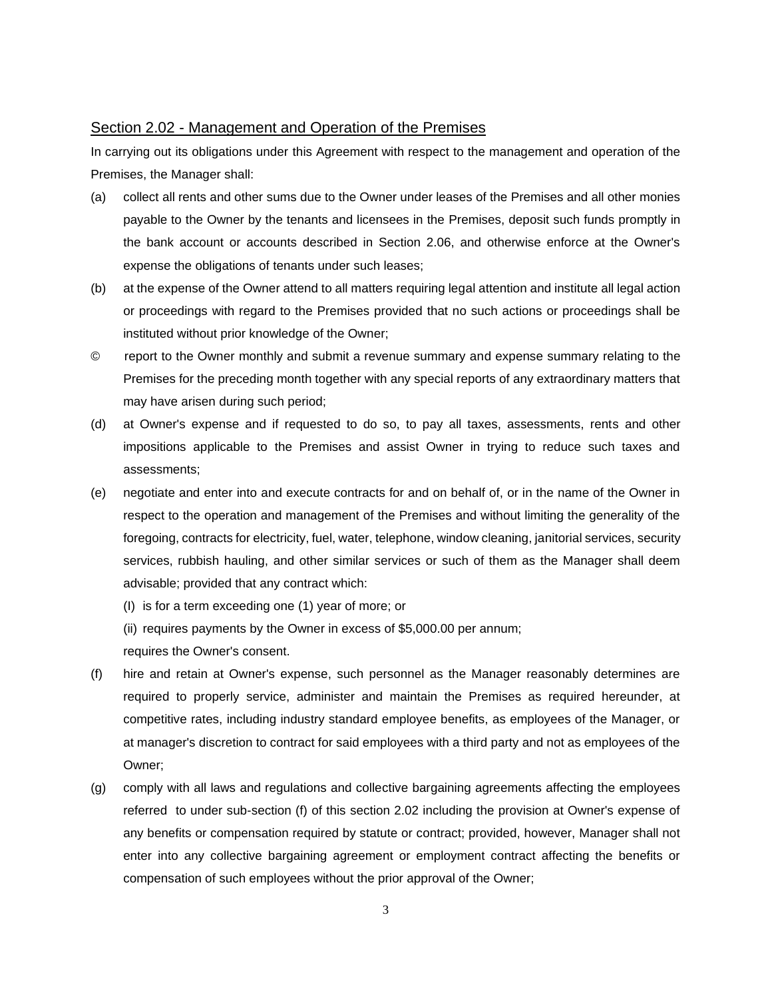#### Section 2.02 - Management and Operation of the Premises

In carrying out its obligations under this Agreement with respect to the management and operation of the Premises, the Manager shall:

- (a) collect all rents and other sums due to the Owner under leases of the Premises and all other monies payable to the Owner by the tenants and licensees in the Premises, deposit such funds promptly in the bank account or accounts described in Section 2.06, and otherwise enforce at the Owner's expense the obligations of tenants under such leases;
- (b) at the expense of the Owner attend to all matters requiring legal attention and institute all legal action or proceedings with regard to the Premises provided that no such actions or proceedings shall be instituted without prior knowledge of the Owner;
- © report to the Owner monthly and submit a revenue summary and expense summary relating to the Premises for the preceding month together with any special reports of any extraordinary matters that may have arisen during such period;
- (d) at Owner's expense and if requested to do so, to pay all taxes, assessments, rents and other impositions applicable to the Premises and assist Owner in trying to reduce such taxes and assessments;
- (e) negotiate and enter into and execute contracts for and on behalf of, or in the name of the Owner in respect to the operation and management of the Premises and without limiting the generality of the foregoing, contracts for electricity, fuel, water, telephone, window cleaning, janitorial services, security services, rubbish hauling, and other similar services or such of them as the Manager shall deem advisable; provided that any contract which:
	- (I) is for a term exceeding one (1) year of more; or
	- (ii) requires payments by the Owner in excess of \$5,000.00 per annum;

requires the Owner's consent.

- (f) hire and retain at Owner's expense, such personnel as the Manager reasonably determines are required to properly service, administer and maintain the Premises as required hereunder, at competitive rates, including industry standard employee benefits, as employees of the Manager, or at manager's discretion to contract for said employees with a third party and not as employees of the Owner;
- (g) comply with all laws and regulations and collective bargaining agreements affecting the employees referred to under sub-section (f) of this section 2.02 including the provision at Owner's expense of any benefits or compensation required by statute or contract; provided, however, Manager shall not enter into any collective bargaining agreement or employment contract affecting the benefits or compensation of such employees without the prior approval of the Owner;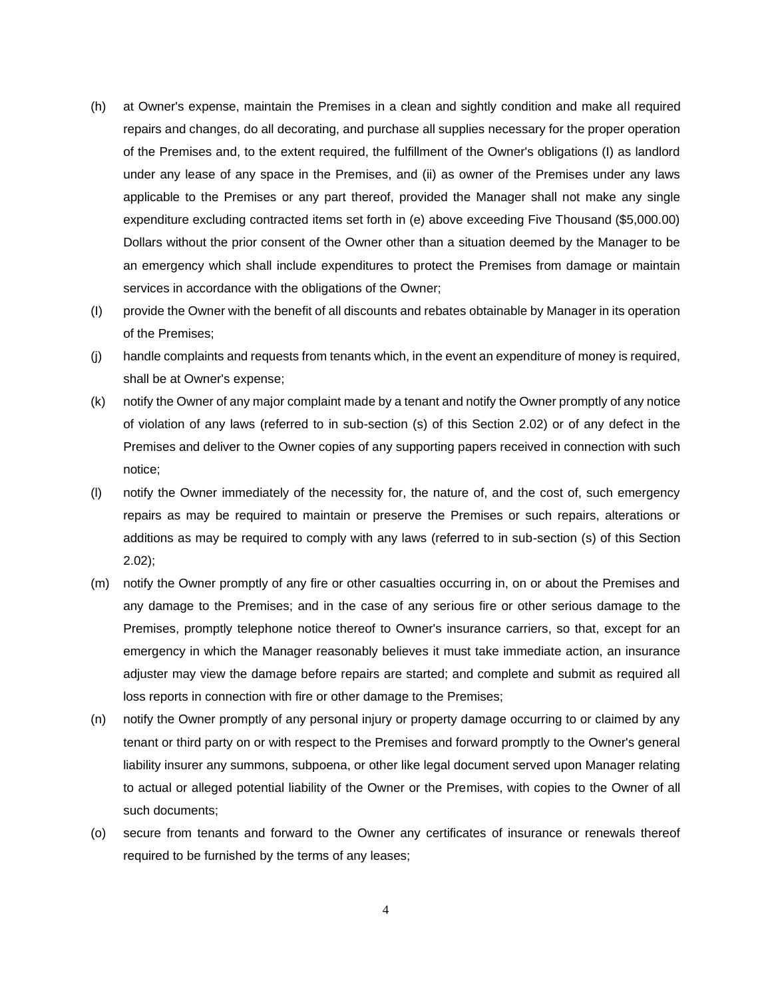- (h) at Owner's expense, maintain the Premises in a clean and sightly condition and make all required repairs and changes, do all decorating, and purchase all supplies necessary for the proper operation of the Premises and, to the extent required, the fulfillment of the Owner's obligations (I) as landlord under any lease of any space in the Premises, and (ii) as owner of the Premises under any laws applicable to the Premises or any part thereof, provided the Manager shall not make any single expenditure excluding contracted items set forth in (e) above exceeding Five Thousand (\$5,000.00) Dollars without the prior consent of the Owner other than a situation deemed by the Manager to be an emergency which shall include expenditures to protect the Premises from damage or maintain services in accordance with the obligations of the Owner;
- (I) provide the Owner with the benefit of all discounts and rebates obtainable by Manager in its operation of the Premises;
- (j) handle complaints and requests from tenants which, in the event an expenditure of money is required, shall be at Owner's expense;
- (k) notify the Owner of any major complaint made by a tenant and notify the Owner promptly of any notice of violation of any laws (referred to in sub-section (s) of this Section 2.02) or of any defect in the Premises and deliver to the Owner copies of any supporting papers received in connection with such notice;
- (l) notify the Owner immediately of the necessity for, the nature of, and the cost of, such emergency repairs as may be required to maintain or preserve the Premises or such repairs, alterations or additions as may be required to comply with any laws (referred to in sub-section (s) of this Section 2.02);
- (m) notify the Owner promptly of any fire or other casualties occurring in, on or about the Premises and any damage to the Premises; and in the case of any serious fire or other serious damage to the Premises, promptly telephone notice thereof to Owner's insurance carriers, so that, except for an emergency in which the Manager reasonably believes it must take immediate action, an insurance adjuster may view the damage before repairs are started; and complete and submit as required all loss reports in connection with fire or other damage to the Premises;
- (n) notify the Owner promptly of any personal injury or property damage occurring to or claimed by any tenant or third party on or with respect to the Premises and forward promptly to the Owner's general liability insurer any summons, subpoena, or other like legal document served upon Manager relating to actual or alleged potential liability of the Owner or the Premises, with copies to the Owner of all such documents;
- (o) secure from tenants and forward to the Owner any certificates of insurance or renewals thereof required to be furnished by the terms of any leases;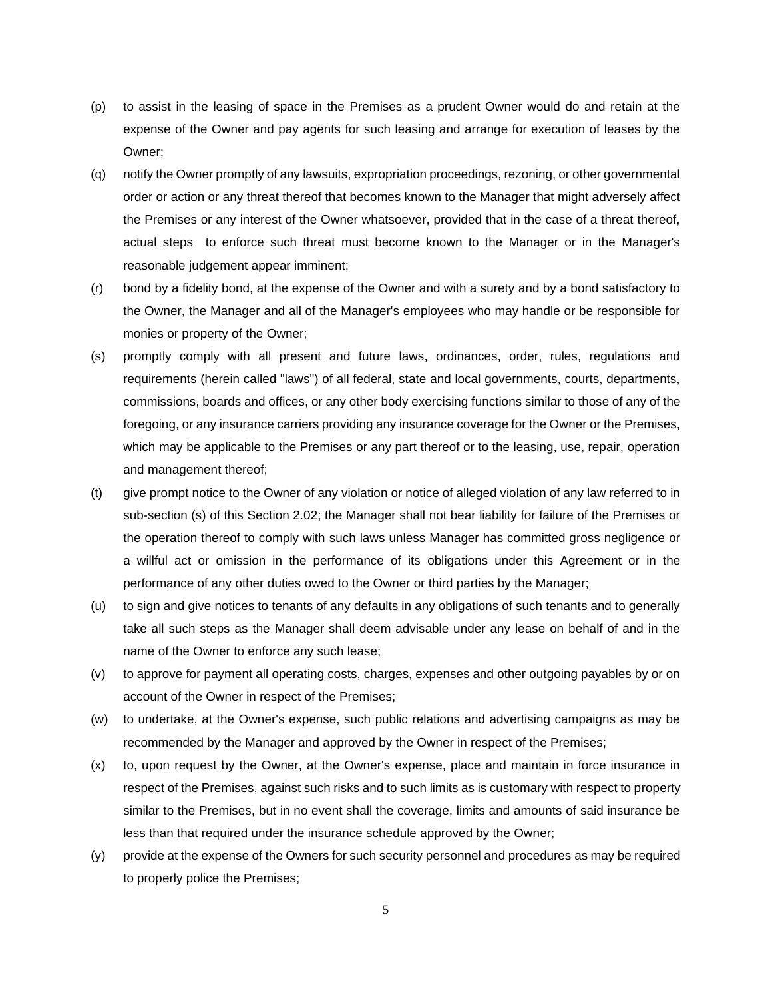- (p) to assist in the leasing of space in the Premises as a prudent Owner would do and retain at the expense of the Owner and pay agents for such leasing and arrange for execution of leases by the Owner;
- (q) notify the Owner promptly of any lawsuits, expropriation proceedings, rezoning, or other governmental order or action or any threat thereof that becomes known to the Manager that might adversely affect the Premises or any interest of the Owner whatsoever, provided that in the case of a threat thereof, actual steps to enforce such threat must become known to the Manager or in the Manager's reasonable judgement appear imminent;
- (r) bond by a fidelity bond, at the expense of the Owner and with a surety and by a bond satisfactory to the Owner, the Manager and all of the Manager's employees who may handle or be responsible for monies or property of the Owner;
- (s) promptly comply with all present and future laws, ordinances, order, rules, regulations and requirements (herein called "laws") of all federal, state and local governments, courts, departments, commissions, boards and offices, or any other body exercising functions similar to those of any of the foregoing, or any insurance carriers providing any insurance coverage for the Owner or the Premises, which may be applicable to the Premises or any part thereof or to the leasing, use, repair, operation and management thereof;
- (t) give prompt notice to the Owner of any violation or notice of alleged violation of any law referred to in sub-section (s) of this Section 2.02; the Manager shall not bear liability for failure of the Premises or the operation thereof to comply with such laws unless Manager has committed gross negligence or a willful act or omission in the performance of its obligations under this Agreement or in the performance of any other duties owed to the Owner or third parties by the Manager;
- (u) to sign and give notices to tenants of any defaults in any obligations of such tenants and to generally take all such steps as the Manager shall deem advisable under any lease on behalf of and in the name of the Owner to enforce any such lease;
- (v) to approve for payment all operating costs, charges, expenses and other outgoing payables by or on account of the Owner in respect of the Premises;
- (w) to undertake, at the Owner's expense, such public relations and advertising campaigns as may be recommended by the Manager and approved by the Owner in respect of the Premises;
- (x) to, upon request by the Owner, at the Owner's expense, place and maintain in force insurance in respect of the Premises, against such risks and to such limits as is customary with respect to property similar to the Premises, but in no event shall the coverage, limits and amounts of said insurance be less than that required under the insurance schedule approved by the Owner;
- (y) provide at the expense of the Owners for such security personnel and procedures as may be required to properly police the Premises;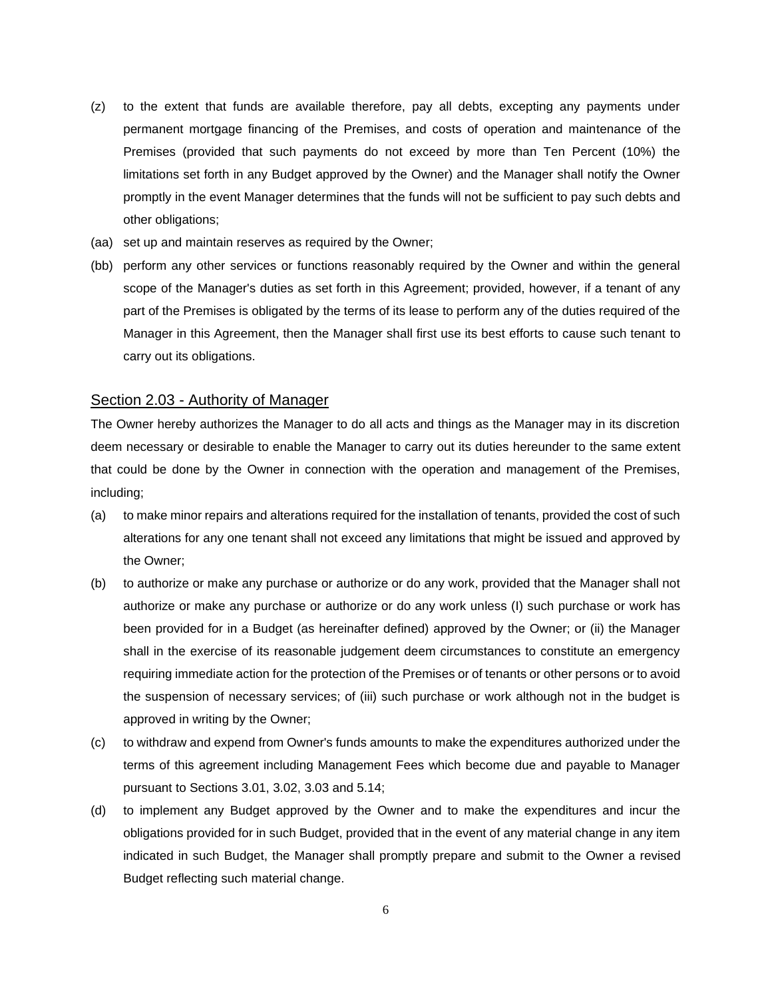- (z) to the extent that funds are available therefore, pay all debts, excepting any payments under permanent mortgage financing of the Premises, and costs of operation and maintenance of the Premises (provided that such payments do not exceed by more than Ten Percent (10%) the limitations set forth in any Budget approved by the Owner) and the Manager shall notify the Owner promptly in the event Manager determines that the funds will not be sufficient to pay such debts and other obligations;
- (aa) set up and maintain reserves as required by the Owner;
- (bb) perform any other services or functions reasonably required by the Owner and within the general scope of the Manager's duties as set forth in this Agreement; provided, however, if a tenant of any part of the Premises is obligated by the terms of its lease to perform any of the duties required of the Manager in this Agreement, then the Manager shall first use its best efforts to cause such tenant to carry out its obligations.

#### Section 2.03 - Authority of Manager

The Owner hereby authorizes the Manager to do all acts and things as the Manager may in its discretion deem necessary or desirable to enable the Manager to carry out its duties hereunder to the same extent that could be done by the Owner in connection with the operation and management of the Premises, including;

- (a) to make minor repairs and alterations required for the installation of tenants, provided the cost of such alterations for any one tenant shall not exceed any limitations that might be issued and approved by the Owner;
- (b) to authorize or make any purchase or authorize or do any work, provided that the Manager shall not authorize or make any purchase or authorize or do any work unless (I) such purchase or work has been provided for in a Budget (as hereinafter defined) approved by the Owner; or (ii) the Manager shall in the exercise of its reasonable judgement deem circumstances to constitute an emergency requiring immediate action for the protection of the Premises or of tenants or other persons or to avoid the suspension of necessary services; of (iii) such purchase or work although not in the budget is approved in writing by the Owner;
- (c) to withdraw and expend from Owner's funds amounts to make the expenditures authorized under the terms of this agreement including Management Fees which become due and payable to Manager pursuant to Sections 3.01, 3.02, 3.03 and 5.14;
- (d) to implement any Budget approved by the Owner and to make the expenditures and incur the obligations provided for in such Budget, provided that in the event of any material change in any item indicated in such Budget, the Manager shall promptly prepare and submit to the Owner a revised Budget reflecting such material change.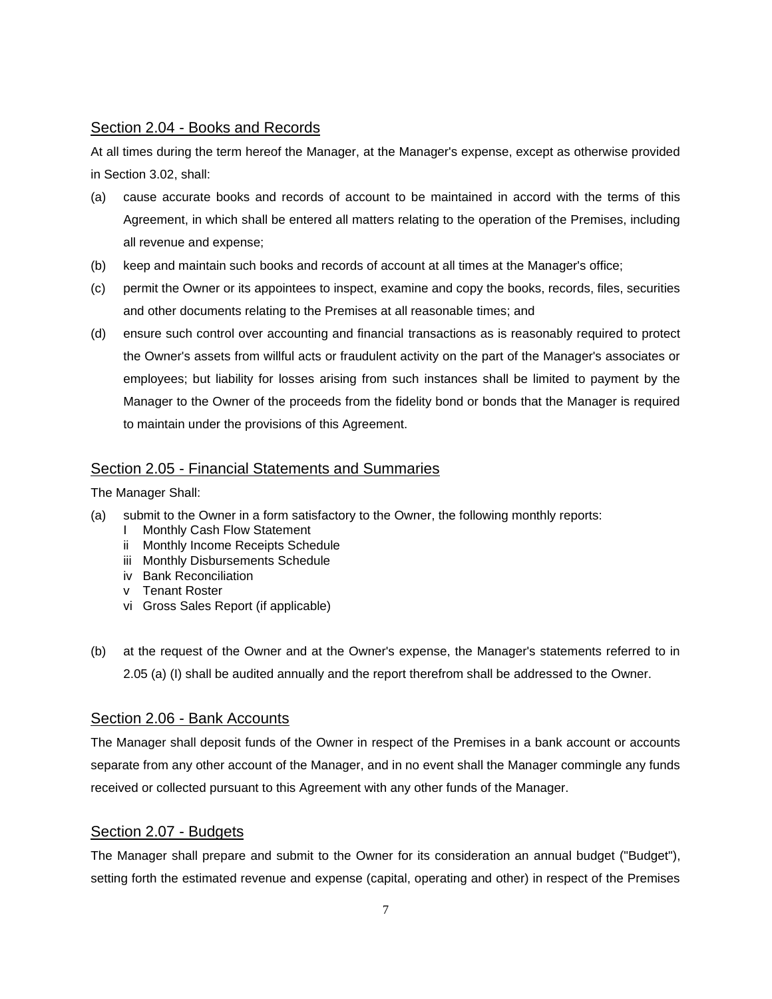# Section 2.04 - Books and Records

At all times during the term hereof the Manager, at the Manager's expense, except as otherwise provided in Section 3.02, shall:

- (a) cause accurate books and records of account to be maintained in accord with the terms of this Agreement, in which shall be entered all matters relating to the operation of the Premises, including all revenue and expense;
- (b) keep and maintain such books and records of account at all times at the Manager's office;
- (c) permit the Owner or its appointees to inspect, examine and copy the books, records, files, securities and other documents relating to the Premises at all reasonable times; and
- (d) ensure such control over accounting and financial transactions as is reasonably required to protect the Owner's assets from willful acts or fraudulent activity on the part of the Manager's associates or employees; but liability for losses arising from such instances shall be limited to payment by the Manager to the Owner of the proceeds from the fidelity bond or bonds that the Manager is required to maintain under the provisions of this Agreement.

# Section 2.05 - Financial Statements and Summaries

The Manager Shall:

- (a) submit to the Owner in a form satisfactory to the Owner, the following monthly reports:
	- I Monthly Cash Flow Statement
	- ii Monthly Income Receipts Schedule
	- iii Monthly Disbursements Schedule
	- iv Bank Reconciliation
	- v Tenant Roster
	- vi Gross Sales Report (if applicable)
- (b) at the request of the Owner and at the Owner's expense, the Manager's statements referred to in 2.05 (a) (I) shall be audited annually and the report therefrom shall be addressed to the Owner.

# Section 2.06 - Bank Accounts

The Manager shall deposit funds of the Owner in respect of the Premises in a bank account or accounts separate from any other account of the Manager, and in no event shall the Manager commingle any funds received or collected pursuant to this Agreement with any other funds of the Manager.

# Section 2.07 - Budgets

The Manager shall prepare and submit to the Owner for its consideration an annual budget ("Budget"), setting forth the estimated revenue and expense (capital, operating and other) in respect of the Premises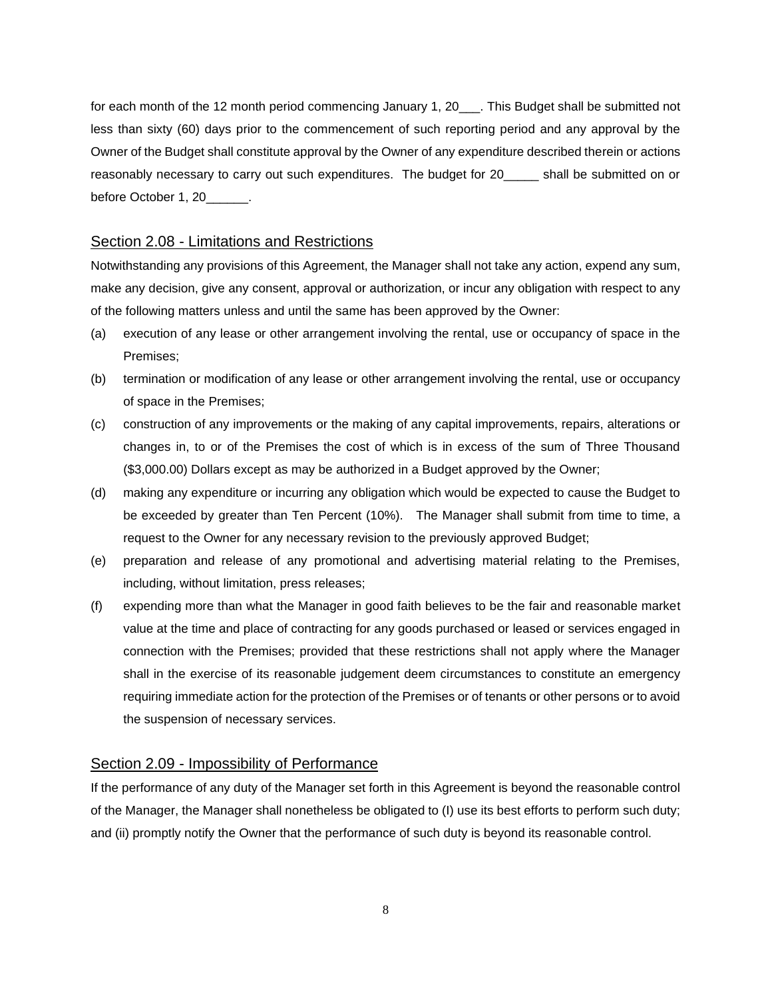for each month of the 12 month period commencing January 1, 20\_\_\_. This Budget shall be submitted not less than sixty (60) days prior to the commencement of such reporting period and any approval by the Owner of the Budget shall constitute approval by the Owner of any expenditure described therein or actions reasonably necessary to carry out such expenditures. The budget for 20\_\_\_\_\_ shall be submitted on or before October 1, 20

#### Section 2.08 - Limitations and Restrictions

Notwithstanding any provisions of this Agreement, the Manager shall not take any action, expend any sum, make any decision, give any consent, approval or authorization, or incur any obligation with respect to any of the following matters unless and until the same has been approved by the Owner:

- (a) execution of any lease or other arrangement involving the rental, use or occupancy of space in the Premises;
- (b) termination or modification of any lease or other arrangement involving the rental, use or occupancy of space in the Premises;
- (c) construction of any improvements or the making of any capital improvements, repairs, alterations or changes in, to or of the Premises the cost of which is in excess of the sum of Three Thousand (\$3,000.00) Dollars except as may be authorized in a Budget approved by the Owner;
- (d) making any expenditure or incurring any obligation which would be expected to cause the Budget to be exceeded by greater than Ten Percent (10%). The Manager shall submit from time to time, a request to the Owner for any necessary revision to the previously approved Budget;
- (e) preparation and release of any promotional and advertising material relating to the Premises, including, without limitation, press releases;
- (f) expending more than what the Manager in good faith believes to be the fair and reasonable market value at the time and place of contracting for any goods purchased or leased or services engaged in connection with the Premises; provided that these restrictions shall not apply where the Manager shall in the exercise of its reasonable judgement deem circumstances to constitute an emergency requiring immediate action for the protection of the Premises or of tenants or other persons or to avoid the suspension of necessary services.

## Section 2.09 - Impossibility of Performance

If the performance of any duty of the Manager set forth in this Agreement is beyond the reasonable control of the Manager, the Manager shall nonetheless be obligated to (I) use its best efforts to perform such duty; and (ii) promptly notify the Owner that the performance of such duty is beyond its reasonable control.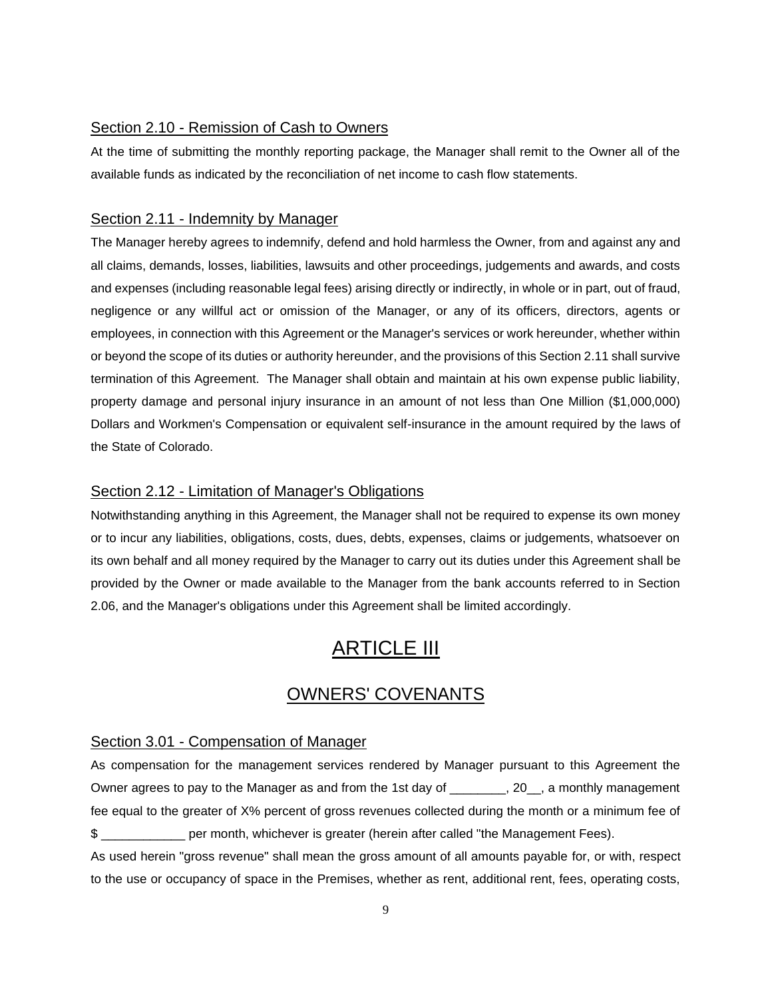#### Section 2.10 - Remission of Cash to Owners

At the time of submitting the monthly reporting package, the Manager shall remit to the Owner all of the available funds as indicated by the reconciliation of net income to cash flow statements.

### Section 2.11 - Indemnity by Manager

The Manager hereby agrees to indemnify, defend and hold harmless the Owner, from and against any and all claims, demands, losses, liabilities, lawsuits and other proceedings, judgements and awards, and costs and expenses (including reasonable legal fees) arising directly or indirectly, in whole or in part, out of fraud, negligence or any willful act or omission of the Manager, or any of its officers, directors, agents or employees, in connection with this Agreement or the Manager's services or work hereunder, whether within or beyond the scope of its duties or authority hereunder, and the provisions of this Section 2.11 shall survive termination of this Agreement. The Manager shall obtain and maintain at his own expense public liability, property damage and personal injury insurance in an amount of not less than One Million (\$1,000,000) Dollars and Workmen's Compensation or equivalent self-insurance in the amount required by the laws of the State of Colorado.

### Section 2.12 - Limitation of Manager's Obligations

Notwithstanding anything in this Agreement, the Manager shall not be required to expense its own money or to incur any liabilities, obligations, costs, dues, debts, expenses, claims or judgements, whatsoever on its own behalf and all money required by the Manager to carry out its duties under this Agreement shall be provided by the Owner or made available to the Manager from the bank accounts referred to in Section 2.06, and the Manager's obligations under this Agreement shall be limited accordingly.

# **ARTICLE III**

# OWNERS' COVENANTS

### Section 3.01 - Compensation of Manager

As compensation for the management services rendered by Manager pursuant to this Agreement the Owner agrees to pay to the Manager as and from the 1st day of \_\_\_\_\_\_\_, 20\_, a monthly management fee equal to the greater of X% percent of gross revenues collected during the month or a minimum fee of \$ \_\_\_\_\_\_\_\_\_\_\_\_ per month, whichever is greater (herein after called "the Management Fees).

As used herein "gross revenue" shall mean the gross amount of all amounts payable for, or with, respect to the use or occupancy of space in the Premises, whether as rent, additional rent, fees, operating costs,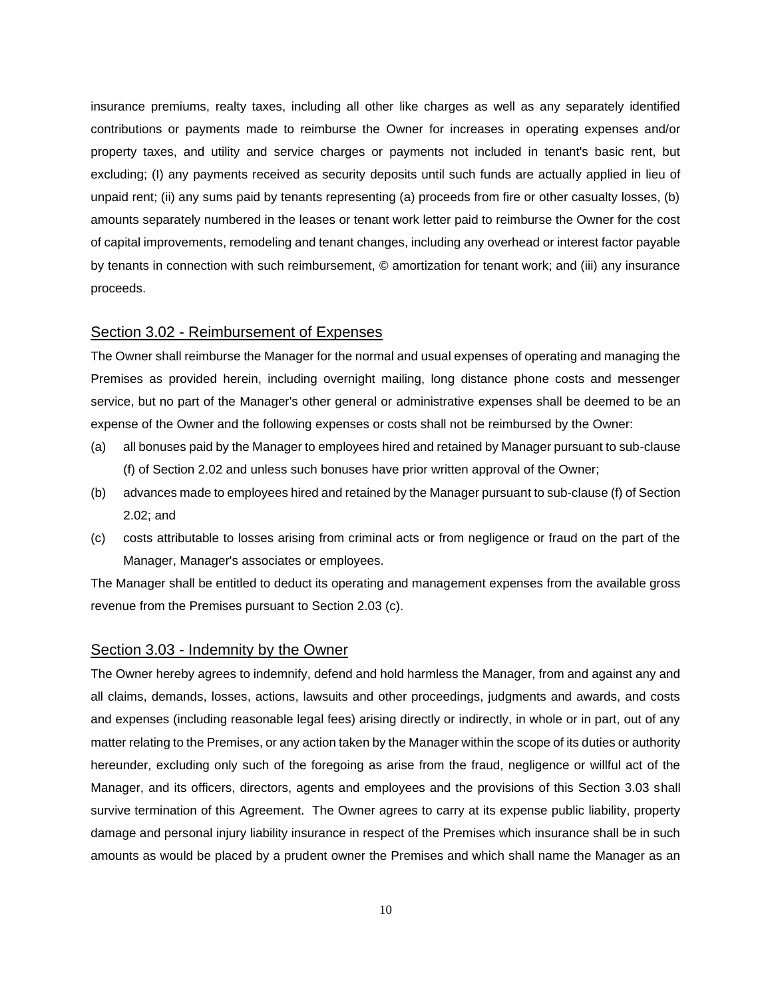insurance premiums, realty taxes, including all other like charges as well as any separately identified contributions or payments made to reimburse the Owner for increases in operating expenses and/or property taxes, and utility and service charges or payments not included in tenant's basic rent, but excluding; (I) any payments received as security deposits until such funds are actually applied in lieu of unpaid rent; (ii) any sums paid by tenants representing (a) proceeds from fire or other casualty losses, (b) amounts separately numbered in the leases or tenant work letter paid to reimburse the Owner for the cost of capital improvements, remodeling and tenant changes, including any overhead or interest factor payable by tenants in connection with such reimbursement, © amortization for tenant work; and (iii) any insurance proceeds.

# Section 3.02 - Reimbursement of Expenses

The Owner shall reimburse the Manager for the normal and usual expenses of operating and managing the Premises as provided herein, including overnight mailing, long distance phone costs and messenger service, but no part of the Manager's other general or administrative expenses shall be deemed to be an expense of the Owner and the following expenses or costs shall not be reimbursed by the Owner:

- (a) all bonuses paid by the Manager to employees hired and retained by Manager pursuant to sub-clause (f) of Section 2.02 and unless such bonuses have prior written approval of the Owner;
- (b) advances made to employees hired and retained by the Manager pursuant to sub-clause (f) of Section 2.02; and
- (c) costs attributable to losses arising from criminal acts or from negligence or fraud on the part of the Manager, Manager's associates or employees.

The Manager shall be entitled to deduct its operating and management expenses from the available gross revenue from the Premises pursuant to Section 2.03 (c).

#### Section 3.03 - Indemnity by the Owner

The Owner hereby agrees to indemnify, defend and hold harmless the Manager, from and against any and all claims, demands, losses, actions, lawsuits and other proceedings, judgments and awards, and costs and expenses (including reasonable legal fees) arising directly or indirectly, in whole or in part, out of any matter relating to the Premises, or any action taken by the Manager within the scope of its duties or authority hereunder, excluding only such of the foregoing as arise from the fraud, negligence or willful act of the Manager, and its officers, directors, agents and employees and the provisions of this Section 3.03 shall survive termination of this Agreement. The Owner agrees to carry at its expense public liability, property damage and personal injury liability insurance in respect of the Premises which insurance shall be in such amounts as would be placed by a prudent owner the Premises and which shall name the Manager as an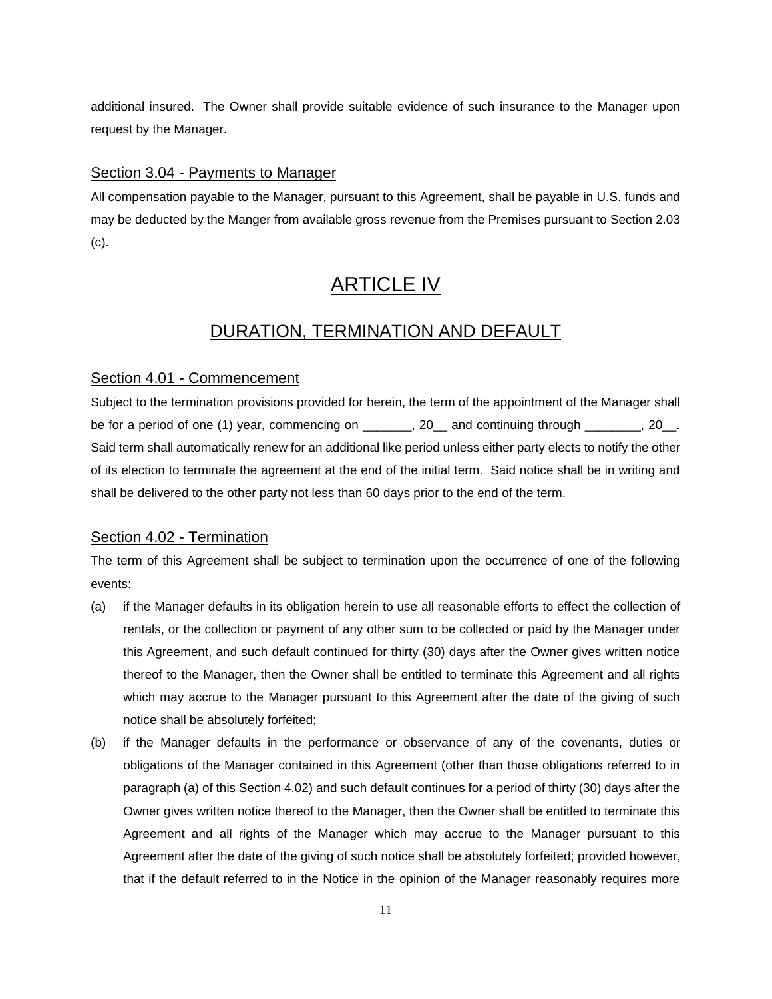additional insured. The Owner shall provide suitable evidence of such insurance to the Manager upon request by the Manager.

### Section 3.04 - Payments to Manager

All compensation payable to the Manager, pursuant to this Agreement, shall be payable in U.S. funds and may be deducted by the Manger from available gross revenue from the Premises pursuant to Section 2.03 (c).

# ARTICLE IV

# DURATION, TERMINATION AND DEFAULT

# Section 4.01 - Commencement

Subject to the termination provisions provided for herein, the term of the appointment of the Manager shall be for a period of one (1) year, commencing on \_\_\_\_\_\_, 20\_\_ and continuing through \_\_\_\_\_\_, 20\_. Said term shall automatically renew for an additional like period unless either party elects to notify the other of its election to terminate the agreement at the end of the initial term. Said notice shall be in writing and shall be delivered to the other party not less than 60 days prior to the end of the term.

# Section 4.02 - Termination

The term of this Agreement shall be subject to termination upon the occurrence of one of the following events:

- (a) if the Manager defaults in its obligation herein to use all reasonable efforts to effect the collection of rentals, or the collection or payment of any other sum to be collected or paid by the Manager under this Agreement, and such default continued for thirty (30) days after the Owner gives written notice thereof to the Manager, then the Owner shall be entitled to terminate this Agreement and all rights which may accrue to the Manager pursuant to this Agreement after the date of the giving of such notice shall be absolutely forfeited;
- (b) if the Manager defaults in the performance or observance of any of the covenants, duties or obligations of the Manager contained in this Agreement (other than those obligations referred to in paragraph (a) of this Section 4.02) and such default continues for a period of thirty (30) days after the Owner gives written notice thereof to the Manager, then the Owner shall be entitled to terminate this Agreement and all rights of the Manager which may accrue to the Manager pursuant to this Agreement after the date of the giving of such notice shall be absolutely forfeited; provided however, that if the default referred to in the Notice in the opinion of the Manager reasonably requires more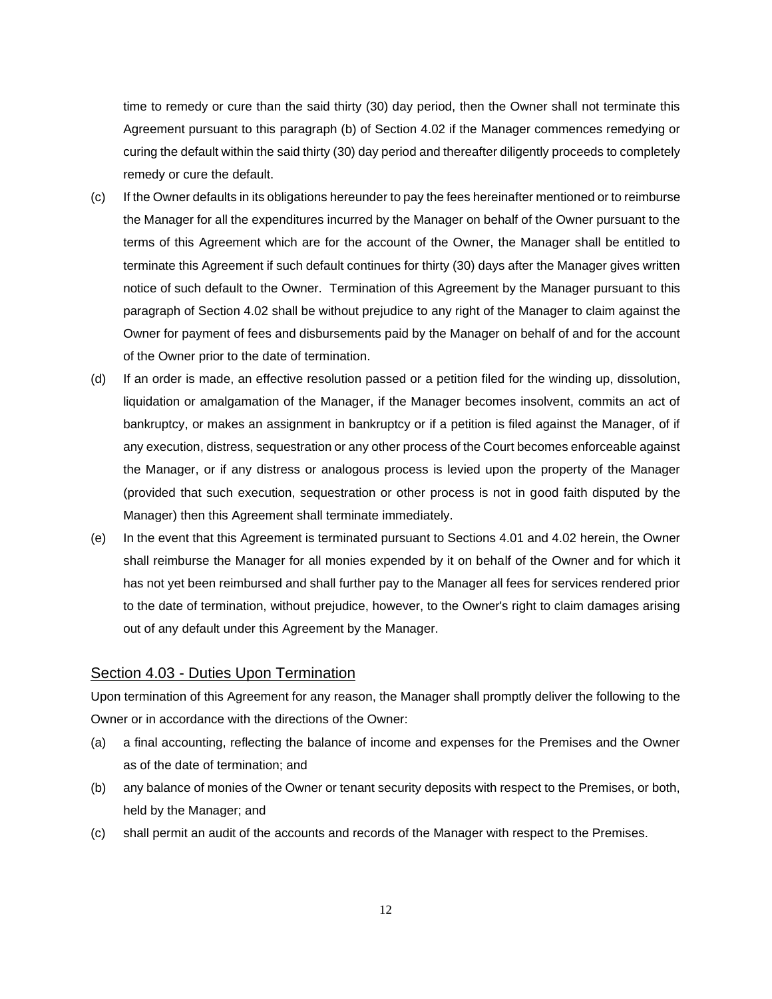time to remedy or cure than the said thirty (30) day period, then the Owner shall not terminate this Agreement pursuant to this paragraph (b) of Section 4.02 if the Manager commences remedying or curing the default within the said thirty (30) day period and thereafter diligently proceeds to completely remedy or cure the default.

- (c) If the Owner defaults in its obligations hereunder to pay the fees hereinafter mentioned or to reimburse the Manager for all the expenditures incurred by the Manager on behalf of the Owner pursuant to the terms of this Agreement which are for the account of the Owner, the Manager shall be entitled to terminate this Agreement if such default continues for thirty (30) days after the Manager gives written notice of such default to the Owner. Termination of this Agreement by the Manager pursuant to this paragraph of Section 4.02 shall be without prejudice to any right of the Manager to claim against the Owner for payment of fees and disbursements paid by the Manager on behalf of and for the account of the Owner prior to the date of termination.
- (d) If an order is made, an effective resolution passed or a petition filed for the winding up, dissolution, liquidation or amalgamation of the Manager, if the Manager becomes insolvent, commits an act of bankruptcy, or makes an assignment in bankruptcy or if a petition is filed against the Manager, of if any execution, distress, sequestration or any other process of the Court becomes enforceable against the Manager, or if any distress or analogous process is levied upon the property of the Manager (provided that such execution, sequestration or other process is not in good faith disputed by the Manager) then this Agreement shall terminate immediately.
- (e) In the event that this Agreement is terminated pursuant to Sections 4.01 and 4.02 herein, the Owner shall reimburse the Manager for all monies expended by it on behalf of the Owner and for which it has not yet been reimbursed and shall further pay to the Manager all fees for services rendered prior to the date of termination, without prejudice, however, to the Owner's right to claim damages arising out of any default under this Agreement by the Manager.

#### Section 4.03 - Duties Upon Termination

Upon termination of this Agreement for any reason, the Manager shall promptly deliver the following to the Owner or in accordance with the directions of the Owner:

- (a) a final accounting, reflecting the balance of income and expenses for the Premises and the Owner as of the date of termination; and
- (b) any balance of monies of the Owner or tenant security deposits with respect to the Premises, or both, held by the Manager; and
- (c) shall permit an audit of the accounts and records of the Manager with respect to the Premises.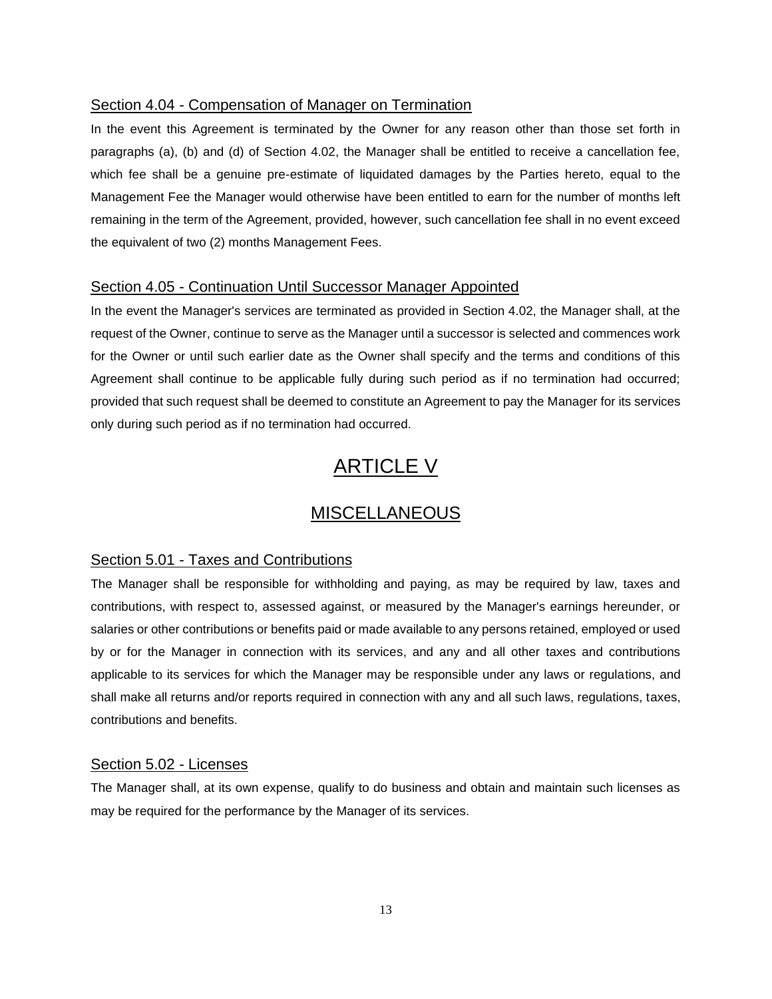### Section 4.04 - Compensation of Manager on Termination

In the event this Agreement is terminated by the Owner for any reason other than those set forth in paragraphs (a), (b) and (d) of Section 4.02, the Manager shall be entitled to receive a cancellation fee, which fee shall be a genuine pre-estimate of liquidated damages by the Parties hereto, equal to the Management Fee the Manager would otherwise have been entitled to earn for the number of months left remaining in the term of the Agreement, provided, however, such cancellation fee shall in no event exceed the equivalent of two (2) months Management Fees.

# Section 4.05 - Continuation Until Successor Manager Appointed

In the event the Manager's services are terminated as provided in Section 4.02, the Manager shall, at the request of the Owner, continue to serve as the Manager until a successor is selected and commences work for the Owner or until such earlier date as the Owner shall specify and the terms and conditions of this Agreement shall continue to be applicable fully during such period as if no termination had occurred; provided that such request shall be deemed to constitute an Agreement to pay the Manager for its services only during such period as if no termination had occurred.

# ARTICLE V

# MISCELLANEOUS

### Section 5.01 - Taxes and Contributions

The Manager shall be responsible for withholding and paying, as may be required by law, taxes and contributions, with respect to, assessed against, or measured by the Manager's earnings hereunder, or salaries or other contributions or benefits paid or made available to any persons retained, employed or used by or for the Manager in connection with its services, and any and all other taxes and contributions applicable to its services for which the Manager may be responsible under any laws or regulations, and shall make all returns and/or reports required in connection with any and all such laws, regulations, taxes, contributions and benefits.

#### Section 5.02 - Licenses

The Manager shall, at its own expense, qualify to do business and obtain and maintain such licenses as may be required for the performance by the Manager of its services.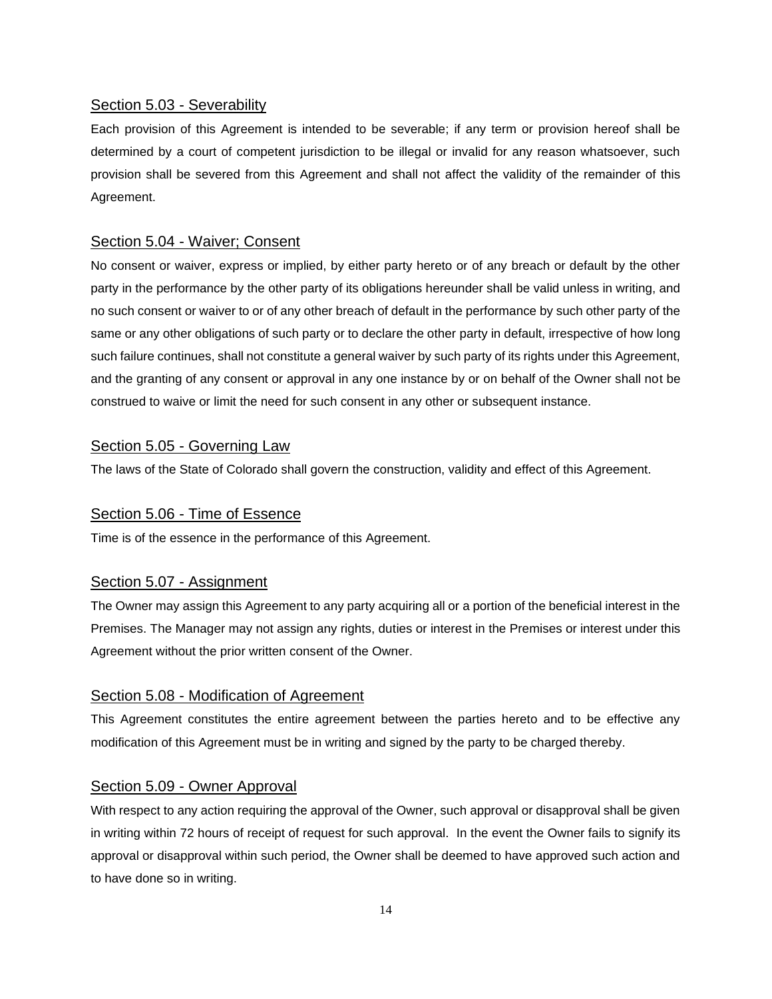# Section 5.03 - Severability

Each provision of this Agreement is intended to be severable; if any term or provision hereof shall be determined by a court of competent jurisdiction to be illegal or invalid for any reason whatsoever, such provision shall be severed from this Agreement and shall not affect the validity of the remainder of this Agreement.

## Section 5.04 - Waiver; Consent

No consent or waiver, express or implied, by either party hereto or of any breach or default by the other party in the performance by the other party of its obligations hereunder shall be valid unless in writing, and no such consent or waiver to or of any other breach of default in the performance by such other party of the same or any other obligations of such party or to declare the other party in default, irrespective of how long such failure continues, shall not constitute a general waiver by such party of its rights under this Agreement, and the granting of any consent or approval in any one instance by or on behalf of the Owner shall not be construed to waive or limit the need for such consent in any other or subsequent instance.

### Section 5.05 - Governing Law

The laws of the State of Colorado shall govern the construction, validity and effect of this Agreement.

# Section 5.06 - Time of Essence

Time is of the essence in the performance of this Agreement.

### Section 5.07 - Assignment

The Owner may assign this Agreement to any party acquiring all or a portion of the beneficial interest in the Premises. The Manager may not assign any rights, duties or interest in the Premises or interest under this Agreement without the prior written consent of the Owner.

#### Section 5.08 - Modification of Agreement

This Agreement constitutes the entire agreement between the parties hereto and to be effective any modification of this Agreement must be in writing and signed by the party to be charged thereby.

### Section 5.09 - Owner Approval

With respect to any action requiring the approval of the Owner, such approval or disapproval shall be given in writing within 72 hours of receipt of request for such approval. In the event the Owner fails to signify its approval or disapproval within such period, the Owner shall be deemed to have approved such action and to have done so in writing.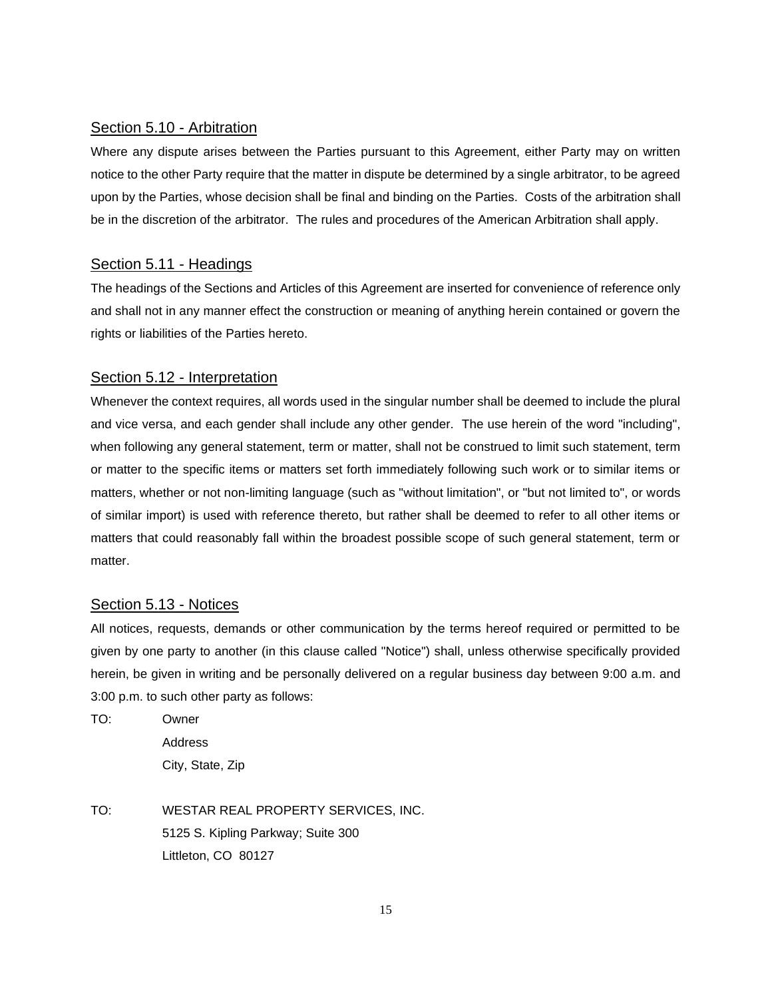#### Section 5.10 - Arbitration

Where any dispute arises between the Parties pursuant to this Agreement, either Party may on written notice to the other Party require that the matter in dispute be determined by a single arbitrator, to be agreed upon by the Parties, whose decision shall be final and binding on the Parties. Costs of the arbitration shall be in the discretion of the arbitrator. The rules and procedures of the American Arbitration shall apply.

# Section 5.11 - Headings

The headings of the Sections and Articles of this Agreement are inserted for convenience of reference only and shall not in any manner effect the construction or meaning of anything herein contained or govern the rights or liabilities of the Parties hereto.

# Section 5.12 - Interpretation

Whenever the context requires, all words used in the singular number shall be deemed to include the plural and vice versa, and each gender shall include any other gender. The use herein of the word "including", when following any general statement, term or matter, shall not be construed to limit such statement, term or matter to the specific items or matters set forth immediately following such work or to similar items or matters, whether or not non-limiting language (such as "without limitation", or "but not limited to", or words of similar import) is used with reference thereto, but rather shall be deemed to refer to all other items or matters that could reasonably fall within the broadest possible scope of such general statement, term or matter.

# Section 5.13 - Notices

All notices, requests, demands or other communication by the terms hereof required or permitted to be given by one party to another (in this clause called "Notice") shall, unless otherwise specifically provided herein, be given in writing and be personally delivered on a regular business day between 9:00 a.m. and 3:00 p.m. to such other party as follows:

TO: Owner Address City, State, Zip

TO: WESTAR REAL PROPERTY SERVICES, INC. 5125 S. Kipling Parkway; Suite 300 Littleton, CO 80127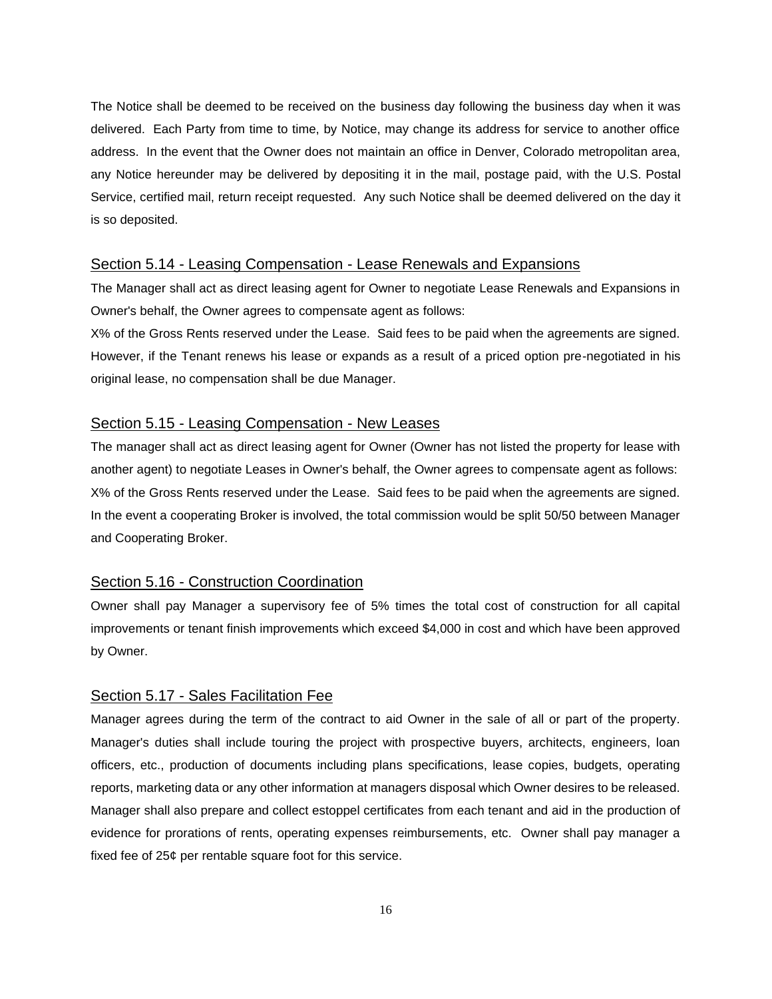The Notice shall be deemed to be received on the business day following the business day when it was delivered. Each Party from time to time, by Notice, may change its address for service to another office address. In the event that the Owner does not maintain an office in Denver, Colorado metropolitan area, any Notice hereunder may be delivered by depositing it in the mail, postage paid, with the U.S. Postal Service, certified mail, return receipt requested. Any such Notice shall be deemed delivered on the day it is so deposited.

### Section 5.14 - Leasing Compensation - Lease Renewals and Expansions

The Manager shall act as direct leasing agent for Owner to negotiate Lease Renewals and Expansions in Owner's behalf, the Owner agrees to compensate agent as follows:

X% of the Gross Rents reserved under the Lease. Said fees to be paid when the agreements are signed. However, if the Tenant renews his lease or expands as a result of a priced option pre-negotiated in his original lease, no compensation shall be due Manager.

#### Section 5.15 - Leasing Compensation - New Leases

The manager shall act as direct leasing agent for Owner (Owner has not listed the property for lease with another agent) to negotiate Leases in Owner's behalf, the Owner agrees to compensate agent as follows: X% of the Gross Rents reserved under the Lease. Said fees to be paid when the agreements are signed. In the event a cooperating Broker is involved, the total commission would be split 50/50 between Manager and Cooperating Broker.

#### Section 5.16 - Construction Coordination

Owner shall pay Manager a supervisory fee of 5% times the total cost of construction for all capital improvements or tenant finish improvements which exceed \$4,000 in cost and which have been approved by Owner.

#### Section 5.17 - Sales Facilitation Fee

Manager agrees during the term of the contract to aid Owner in the sale of all or part of the property. Manager's duties shall include touring the project with prospective buyers, architects, engineers, loan officers, etc., production of documents including plans specifications, lease copies, budgets, operating reports, marketing data or any other information at managers disposal which Owner desires to be released. Manager shall also prepare and collect estoppel certificates from each tenant and aid in the production of evidence for prorations of rents, operating expenses reimbursements, etc. Owner shall pay manager a fixed fee of 25¢ per rentable square foot for this service.